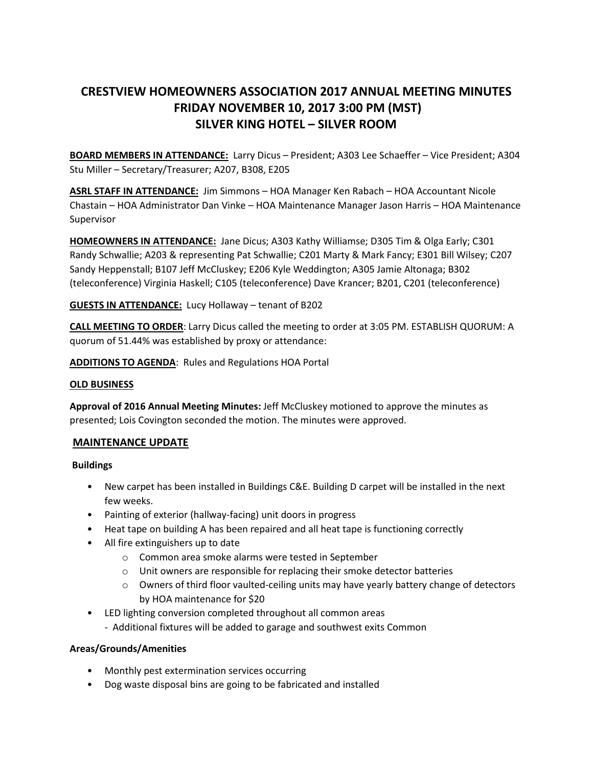# **CRESTVIEW HOMEOWNERS ASSOCIATION 2017 ANNUAL MEETING MINUTES FRIDAY NOVEMBER 10, 2017 3:00 PM (MST) SILVER KING HOTEL – SILVER ROOM**

**BOARD MEMBERS IN ATTENDANCE:** Larry Dicus – President; A303 Lee Schaeffer – Vice President; A304 Stu Miller – Secretary/Treasurer; A207, B308, E205

**ASRL STAFF IN ATTENDANCE:** Jim Simmons – HOA Manager Ken Rabach – HOA Accountant Nicole Chastain – HOA Administrator Dan Vinke – HOA Maintenance Manager Jason Harris – HOA Maintenance Supervisor

**HOMEOWNERS IN ATTENDANCE:** Jane Dicus; A303 Kathy Williamse; D305 Tim & Olga Early; C301 Randy Schwallie; A203 & representing Pat Schwallie; C201 Marty & Mark Fancy; E301 Bill Wilsey; C207 Sandy Heppenstall; B107 Jeff McCluskey; E206 Kyle Weddington; A305 Jamie Altonaga; B302 (teleconference) Virginia Haskell; C105 (teleconference) Dave Krancer; B201, C201 (teleconference)

### **GUESTS IN ATTENDANCE:** Lucy Hollaway – tenant of B202

**CALL MEETING TO ORDER**: Larry Dicus called the meeting to order at 3:05 PM. ESTABLISH QUORUM: A quorum of 51.44% was established by proxy or attendance:

**ADDITIONS TO AGENDA**: Rules and Regulations HOA Portal

#### **OLD BUSINESS**

**Approval of 2016 Annual Meeting Minutes:** Jeff McCluskey motioned to approve the minutes as presented; Lois Covington seconded the motion. The minutes were approved.

#### **MAINTENANCE UPDATE**

**Buildings** 

- New carpet has been installed in Buildings C&E. Building D carpet will be installed in the next few weeks.
- Painting of exterior (hallway-facing) unit doors in progress
- Heat tape on building A has been repaired and all heat tape is functioning correctly
- All fire extinguishers up to date
	- o Common area smoke alarms were tested in September
	- o Unit owners are responsible for replacing their smoke detector batteries
	- $\circ$  Owners of third floor vaulted-ceiling units may have yearly battery change of detectors by HOA maintenance for \$20
- LED lighting conversion completed throughout all common areas
	- Additional fixtures will be added to garage and southwest exits Common

#### **Areas/Grounds/Amenities**

- Monthly pest extermination services occurring
- Dog waste disposal bins are going to be fabricated and installed